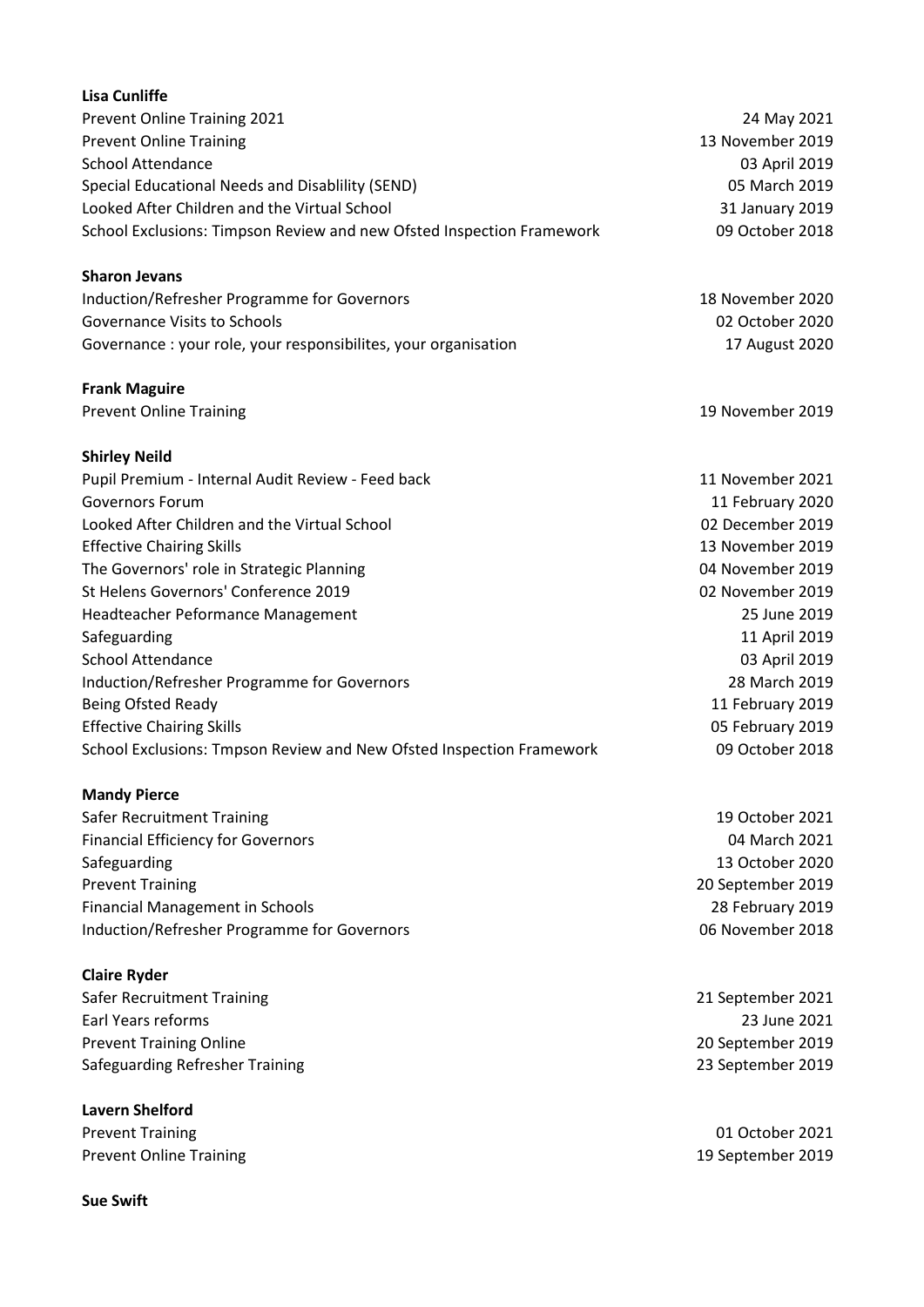| <b>Lisa Cunliffe</b>                                                  |                   |
|-----------------------------------------------------------------------|-------------------|
| Prevent Online Training 2021                                          | 24 May 2021       |
| <b>Prevent Online Training</b>                                        | 13 November 2019  |
| <b>School Attendance</b>                                              | 03 April 2019     |
| Special Educational Needs and Disablility (SEND)                      | 05 March 2019     |
| Looked After Children and the Virtual School                          | 31 January 2019   |
| School Exclusions: Timpson Review and new Ofsted Inspection Framework | 09 October 2018   |
| <b>Sharon Jevans</b>                                                  |                   |
| Induction/Refresher Programme for Governors                           | 18 November 2020  |
| <b>Governance Visits to Schools</b>                                   | 02 October 2020   |
| Governance: your role, your responsibilites, your organisation        | 17 August 2020    |
| <b>Frank Maguire</b>                                                  |                   |
| <b>Prevent Online Training</b>                                        | 19 November 2019  |
| <b>Shirley Neild</b>                                                  |                   |
| Pupil Premium - Internal Audit Review - Feed back                     | 11 November 2021  |
| <b>Governors Forum</b>                                                | 11 February 2020  |
| Looked After Children and the Virtual School                          | 02 December 2019  |
| <b>Effective Chairing Skills</b>                                      | 13 November 2019  |
| The Governors' role in Strategic Planning                             | 04 November 2019  |
| St Helens Governors' Conference 2019                                  | 02 November 2019  |
| Headteacher Peformance Management                                     | 25 June 2019      |
| Safeguarding                                                          | 11 April 2019     |
| <b>School Attendance</b>                                              | 03 April 2019     |
| Induction/Refresher Programme for Governors                           | 28 March 2019     |
| Being Ofsted Ready                                                    | 11 February 2019  |
| <b>Effective Chairing Skills</b>                                      | 05 February 2019  |
| School Exclusions: Tmpson Review and New Ofsted Inspection Framework  | 09 October 2018   |
| <b>Mandy Pierce</b>                                                   |                   |
| <b>Safer Recruitment Training</b>                                     | 19 October 2021   |
| <b>Financial Efficiency for Governors</b>                             | 04 March 2021     |
| Safeguarding                                                          | 13 October 2020   |
| <b>Prevent Training</b>                                               | 20 September 2019 |
| <b>Financial Management in Schools</b>                                | 28 February 2019  |
| Induction/Refresher Programme for Governors                           | 06 November 2018  |
| <b>Claire Ryder</b>                                                   |                   |
| <b>Safer Recruitment Training</b>                                     | 21 September 2021 |
| Earl Years reforms                                                    | 23 June 2021      |
| <b>Prevent Training Online</b>                                        | 20 September 2019 |
| Safeguarding Refresher Training                                       | 23 September 2019 |
| <b>Lavern Shelford</b>                                                |                   |
| <b>Prevent Training</b>                                               | 01 October 2021   |
| <b>Prevent Online Training</b>                                        | 19 September 2019 |

Sue Swift